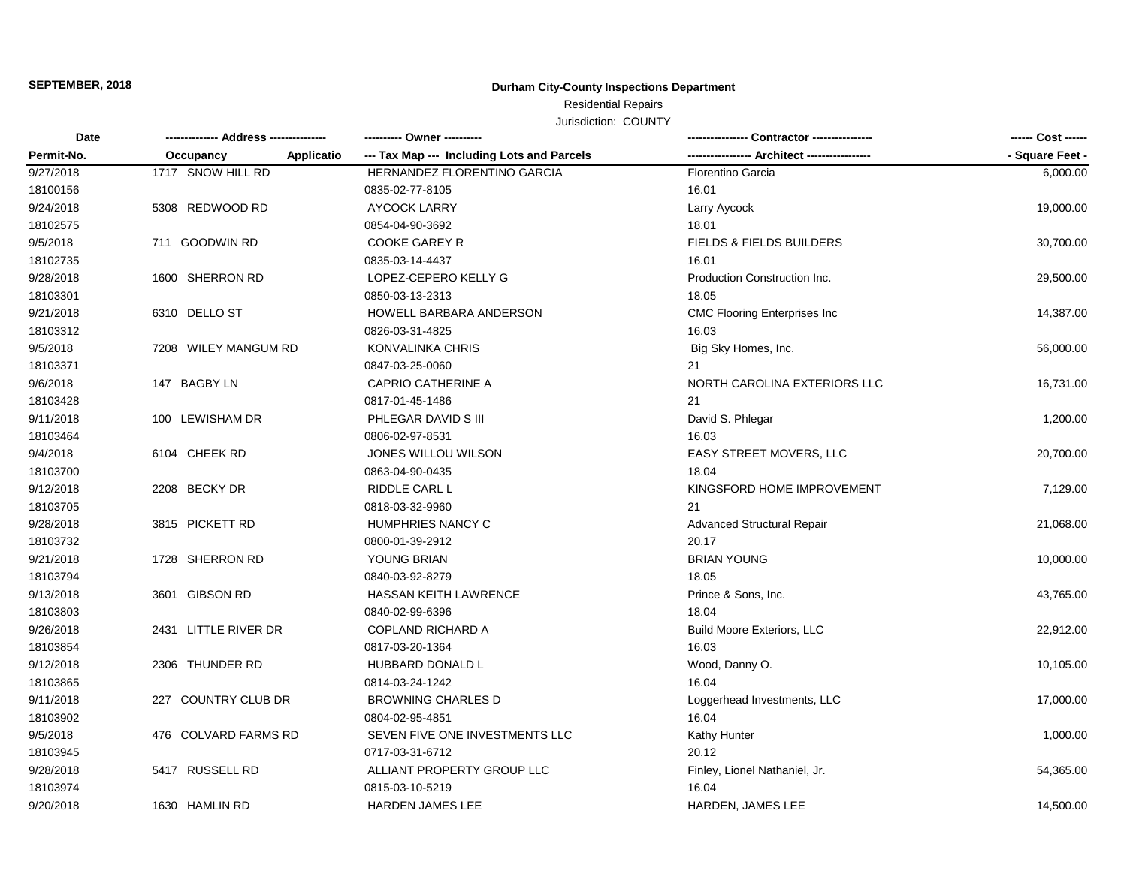**SEPTEMBER, 2018**

# **Durham City-County Inspections Department**

Residential Repairs

Jurisdiction: COUNTY

| <b>Date</b> | ------------- Address -------------- | ---------- Owner ----------                | - Contractor ----------------       | ------ Cost ------ |
|-------------|--------------------------------------|--------------------------------------------|-------------------------------------|--------------------|
| Permit-No.  | Applicatio<br>Occupancy              | --- Tax Map --- Including Lots and Parcels |                                     | - Square Feet -    |
| 9/27/2018   | 1717 SNOW HILL RD                    | HERNANDEZ FLORENTINO GARCIA                | <b>Florentino Garcia</b>            | 6,000.00           |
| 18100156    |                                      | 0835-02-77-8105                            | 16.01                               |                    |
| 9/24/2018   | 5308 REDWOOD RD                      | <b>AYCOCK LARRY</b>                        | Larry Aycock                        | 19,000.00          |
| 18102575    |                                      | 0854-04-90-3692                            | 18.01                               |                    |
| 9/5/2018    | 711 GOODWIN RD                       | COOKE GAREY R                              | FIELDS & FIELDS BUILDERS            | 30,700.00          |
| 18102735    |                                      | 0835-03-14-4437                            | 16.01                               |                    |
| 9/28/2018   | 1600 SHERRON RD                      | LOPEZ-CEPERO KELLY G                       | Production Construction Inc.        | 29,500.00          |
| 18103301    |                                      | 0850-03-13-2313                            | 18.05                               |                    |
| 9/21/2018   | 6310 DELLO ST                        | HOWELL BARBARA ANDERSON                    | <b>CMC Flooring Enterprises Inc</b> | 14,387.00          |
| 18103312    |                                      | 0826-03-31-4825                            | 16.03                               |                    |
| 9/5/2018    | 7208 WILEY MANGUM RD                 | KONVALINKA CHRIS                           | Big Sky Homes, Inc.                 | 56,000.00          |
| 18103371    |                                      | 0847-03-25-0060                            | 21                                  |                    |
| 9/6/2018    | 147 BAGBY LN                         | <b>CAPRIO CATHERINE A</b>                  | NORTH CAROLINA EXTERIORS LLC        | 16,731.00          |
| 18103428    |                                      | 0817-01-45-1486                            | 21                                  |                    |
| 9/11/2018   | 100 LEWISHAM DR                      | PHLEGAR DAVID S III                        | David S. Phlegar                    | 1,200.00           |
| 18103464    |                                      | 0806-02-97-8531                            | 16.03                               |                    |
| 9/4/2018    | 6104 CHEEK RD                        | JONES WILLOU WILSON                        | EASY STREET MOVERS, LLC             | 20,700.00          |
| 18103700    |                                      | 0863-04-90-0435                            | 18.04                               |                    |
| 9/12/2018   | 2208 BECKY DR                        | <b>RIDDLE CARL L</b>                       | KINGSFORD HOME IMPROVEMENT          | 7,129.00           |
| 18103705    |                                      | 0818-03-32-9960                            | 21                                  |                    |
| 9/28/2018   | 3815 PICKETT RD                      | HUMPHRIES NANCY C                          | <b>Advanced Structural Repair</b>   | 21,068.00          |
| 18103732    |                                      | 0800-01-39-2912                            | 20.17                               |                    |
| 9/21/2018   | 1728 SHERRON RD                      | YOUNG BRIAN                                | <b>BRIAN YOUNG</b>                  | 10,000.00          |
| 18103794    |                                      | 0840-03-92-8279                            | 18.05                               |                    |
| 9/13/2018   | 3601 GIBSON RD                       | <b>HASSAN KEITH LAWRENCE</b>               | Prince & Sons, Inc.                 | 43,765.00          |
| 18103803    |                                      | 0840-02-99-6396                            | 18.04                               |                    |
| 9/26/2018   | 2431 LITTLE RIVER DR                 | <b>COPLAND RICHARD A</b>                   | <b>Build Moore Exteriors, LLC</b>   | 22,912.00          |
| 18103854    |                                      | 0817-03-20-1364                            | 16.03                               |                    |
| 9/12/2018   | 2306 THUNDER RD                      | HUBBARD DONALD L                           | Wood, Danny O.                      | 10,105.00          |
| 18103865    |                                      | 0814-03-24-1242                            | 16.04                               |                    |
| 9/11/2018   | 227 COUNTRY CLUB DR                  | <b>BROWNING CHARLES D</b>                  | Loggerhead Investments, LLC         | 17,000.00          |
| 18103902    |                                      | 0804-02-95-4851                            | 16.04                               |                    |
| 9/5/2018    | 476 COLVARD FARMS RD                 | SEVEN FIVE ONE INVESTMENTS LLC             | Kathy Hunter                        | 1,000.00           |
| 18103945    |                                      | 0717-03-31-6712                            | 20.12                               |                    |
| 9/28/2018   | 5417 RUSSELL RD                      | ALLIANT PROPERTY GROUP LLC                 | Finley, Lionel Nathaniel, Jr.       | 54,365.00          |
| 18103974    |                                      | 0815-03-10-5219                            | 16.04                               |                    |
| 9/20/2018   | 1630 HAMLIN RD                       | <b>HARDEN JAMES LEE</b>                    | <b>HARDEN, JAMES LEE</b>            | 14,500.00          |